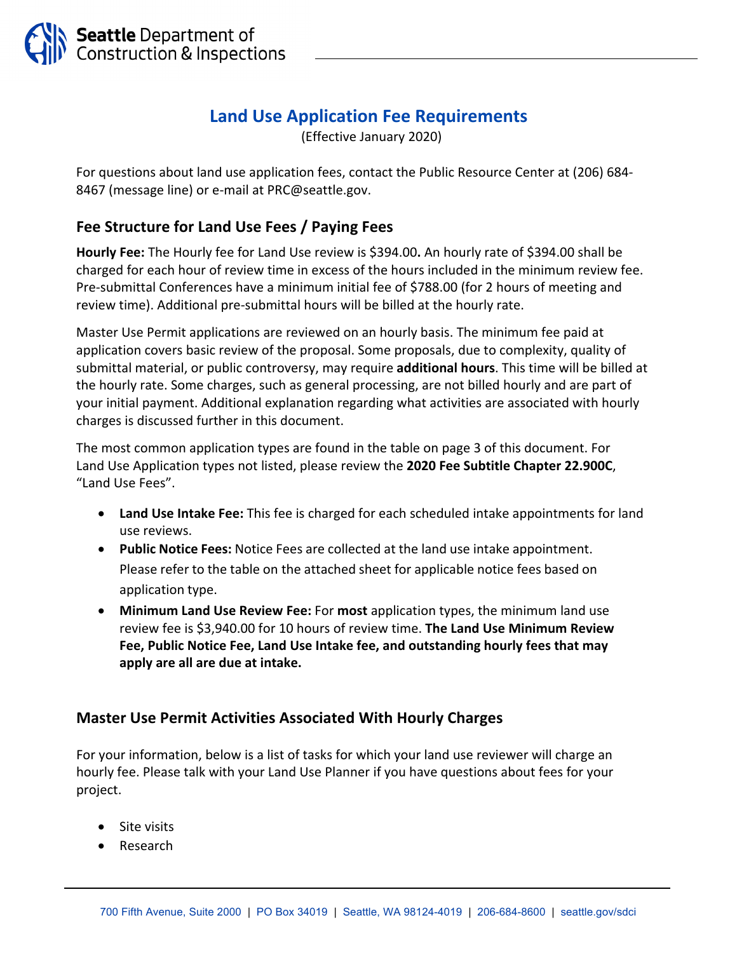

## **Land Use Application Fee Requirements**

(Effective January 2020)

For questions about land use application fees, contact the Public Resource Center at (206) 684‐ 8467 (message line) or e-mail at PRC@seattle.gov.

## **Fee Structure for Land Use Fees / Paying Fees**

**Hourly Fee:** The Hourly fee for Land Use review is \$394.00**.** An hourly rate of \$394.00 shall be charged for each hour of review time in excess of the hours included in the minimum review fee. Pre‐submittal Conferences have a minimum initial fee of \$788.00 (for 2 hours of meeting and review time). Additional pre‐submittal hours will be billed at the hourly rate.

Master Use Permit applications are reviewed on an hourly basis. The minimum fee paid at application covers basic review of the proposal. Some proposals, due to complexity, quality of submittal material, or public controversy, may require **additional hours**. This time will be billed at the hourly rate. Some charges, such as general processing, are not billed hourly and are part of your initial payment. Additional explanation regarding what activities are associated with hourly charges is discussed further in this document.

The most common application types are found in the table on page 3 of this document. For Land Use Application types not listed, please review the **2020 Fee Subtitle Chapter 22.900C**, "Land Use Fees".

- **Land Use Intake Fee:** This fee is charged for each scheduled intake appointments for land use reviews.
- **Public Notice Fees:** Notice Fees are collected at the land use intake appointment. Please refer to the table on the attached sheet for applicable notice fees based on application type.
- **Minimum Land Use Review Fee:** For **most** application types, the minimum land use review fee is \$3,940.00 for 10 hours of review time. **The Land Use Minimum Review Fee, Public Notice Fee, Land Use Intake fee, and outstanding hourly fees that may apply are all are due at intake.**

## **Master Use Permit Activities Associated With Hourly Charges**

For your information, below is a list of tasks for which your land use reviewer will charge an hourly fee. Please talk with your Land Use Planner if you have questions about fees for your project.

- Site visits
- Research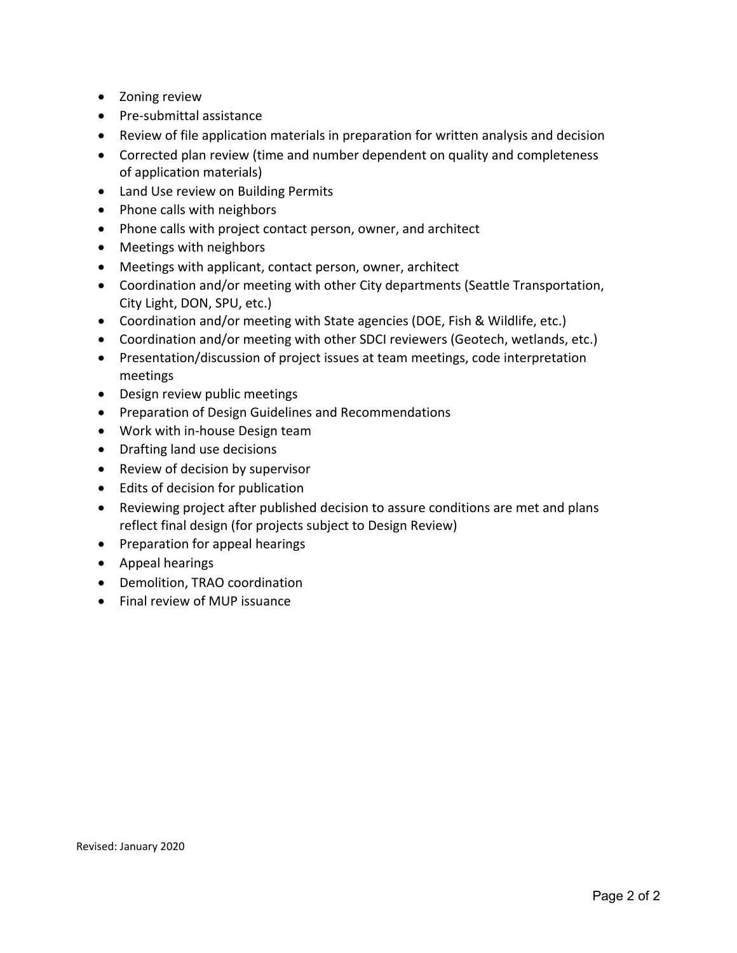- Zoning review
- Pre-submittal assistance
- Review of file application materials in preparation for written analysis and decision
- Corrected plan review (time and number dependent on quality and completeness of application materials)
- Land Use review on Building Permits
- Phone calls with neighbors
- Phone calls with project contact person, owner, and architect
- Meetings with neighbors
- Meetings with applicant, contact person, owner, architect
- Coordination and/or meeting with other City departments (Seattle Transportation, City Light, DON, SPU, etc.)
- Coordination and/or meeting with State agencies (DOE, Fish & Wildlife, etc.)
- Coordination and/or meeting with other SDCI reviewers (Geotech, wetlands, etc.)
- Presentation/discussion of project issues at team meetings, code interpretation meetings
- Design review public meetings
- **•** Preparation of Design Guidelines and Recommendations
- Work with in-house Design team
- Drafting land use decisions
- Review of decision by supervisor
- Edits of decision for publication
- Reviewing project after published decision to assure conditions are met and plans reflect final design (for projects subject to Design Review)
- Preparation for appeal hearings
- Appeal hearings
- Demolition, TRAO coordination
- Final review of MUP issuance